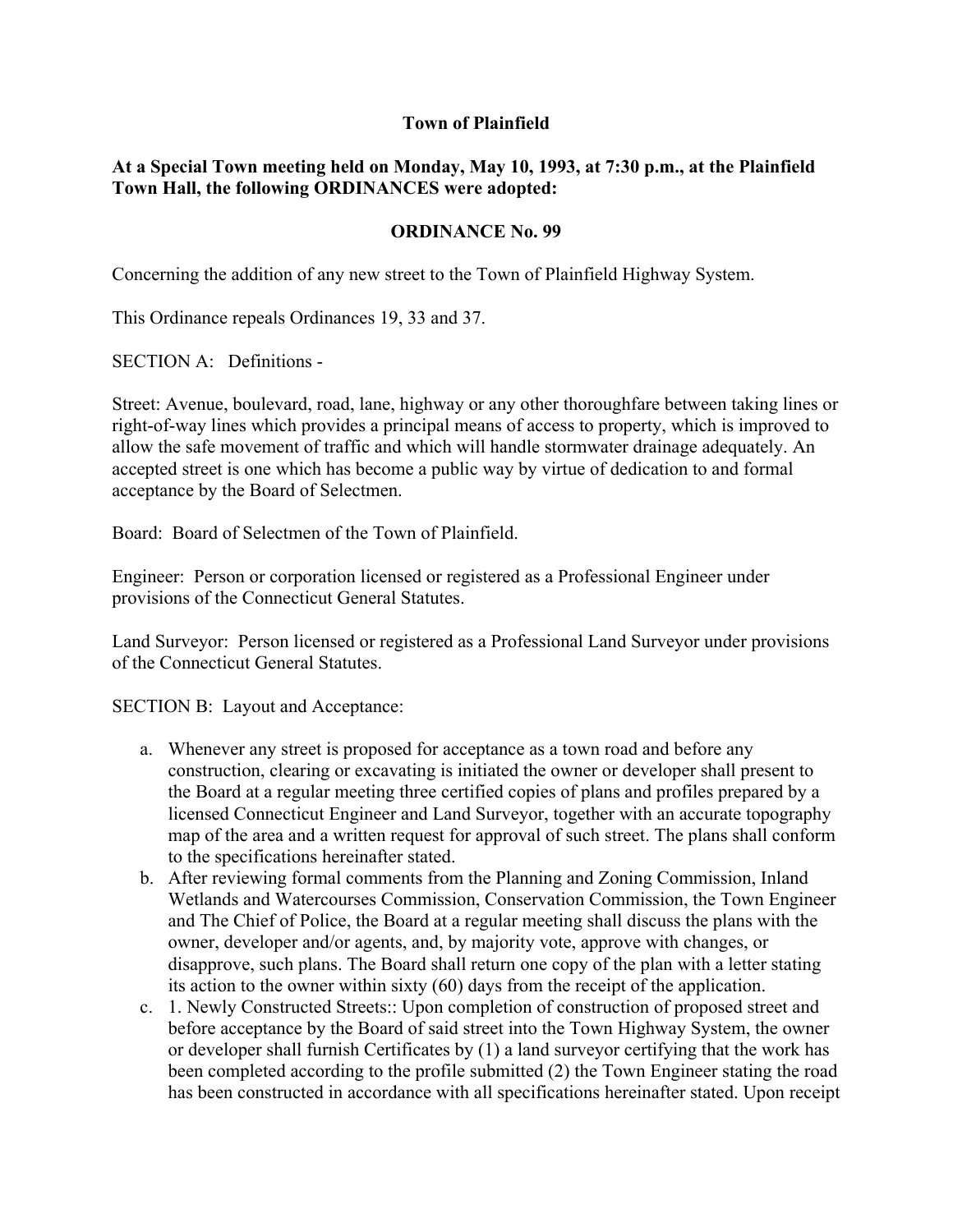## **Town of Plainfield**

## **At a Special Town meeting held on Monday, May 10, 1993, at 7:30 p.m., at the Plainfield Town Hall, the following ORDINANCES were adopted:**

## **ORDINANCE No. 99**

Concerning the addition of any new street to the Town of Plainfield Highway System.

This Ordinance repeals Ordinances 19, 33 and 37.

SECTION A: Definitions -

Street: Avenue, boulevard, road, lane, highway or any other thoroughfare between taking lines or right-of-way lines which provides a principal means of access to property, which is improved to allow the safe movement of traffic and which will handle stormwater drainage adequately. An accepted street is one which has become a public way by virtue of dedication to and formal acceptance by the Board of Selectmen.

Board: Board of Selectmen of the Town of Plainfield.

Engineer: Person or corporation licensed or registered as a Professional Engineer under provisions of the Connecticut General Statutes.

Land Surveyor: Person licensed or registered as a Professional Land Surveyor under provisions of the Connecticut General Statutes.

SECTION B: Layout and Acceptance:

- a. Whenever any street is proposed for acceptance as a town road and before any construction, clearing or excavating is initiated the owner or developer shall present to the Board at a regular meeting three certified copies of plans and profiles prepared by a licensed Connecticut Engineer and Land Surveyor, together with an accurate topography map of the area and a written request for approval of such street. The plans shall conform to the specifications hereinafter stated.
- b. After reviewing formal comments from the Planning and Zoning Commission, Inland Wetlands and Watercourses Commission, Conservation Commission, the Town Engineer and The Chief of Police, the Board at a regular meeting shall discuss the plans with the owner, developer and/or agents, and, by majority vote, approve with changes, or disapprove, such plans. The Board shall return one copy of the plan with a letter stating its action to the owner within sixty (60) days from the receipt of the application.
- c. 1. Newly Constructed Streets:: Upon completion of construction of proposed street and before acceptance by the Board of said street into the Town Highway System, the owner or developer shall furnish Certificates by (1) a land surveyor certifying that the work has been completed according to the profile submitted (2) the Town Engineer stating the road has been constructed in accordance with all specifications hereinafter stated. Upon receipt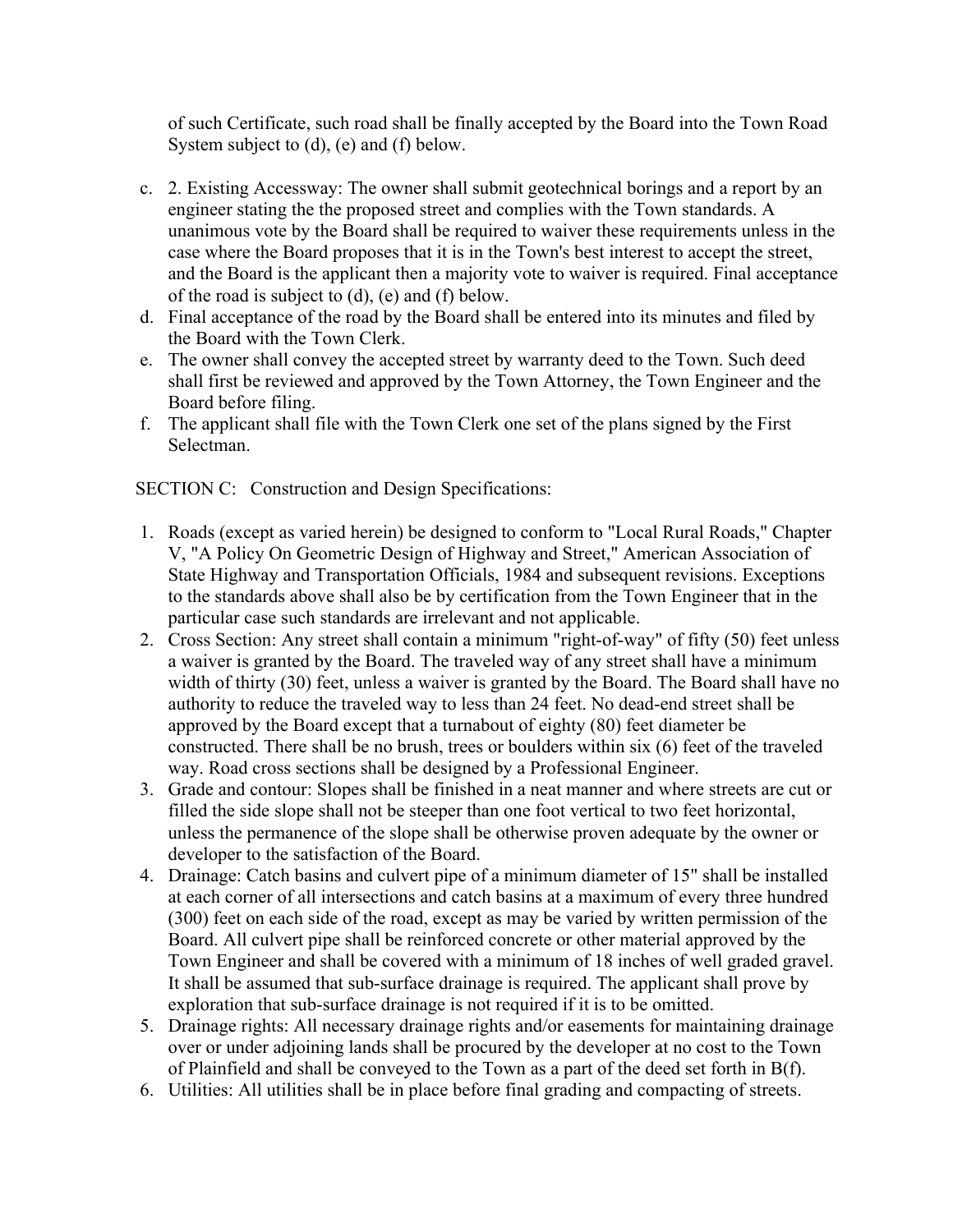of such Certificate, such road shall be finally accepted by the Board into the Town Road System subject to (d), (e) and (f) below.

- c. 2. Existing Accessway: The owner shall submit geotechnical borings and a report by an engineer stating the the proposed street and complies with the Town standards. A unanimous vote by the Board shall be required to waiver these requirements unless in the case where the Board proposes that it is in the Town's best interest to accept the street, and the Board is the applicant then a majority vote to waiver is required. Final acceptance of the road is subject to (d), (e) and (f) below.
- d. Final acceptance of the road by the Board shall be entered into its minutes and filed by the Board with the Town Clerk.
- e. The owner shall convey the accepted street by warranty deed to the Town. Such deed shall first be reviewed and approved by the Town Attorney, the Town Engineer and the Board before filing.
- f. The applicant shall file with the Town Clerk one set of the plans signed by the First Selectman.

SECTION C: Construction and Design Specifications:

- 1. Roads (except as varied herein) be designed to conform to "Local Rural Roads," Chapter V, "A Policy On Geometric Design of Highway and Street," American Association of State Highway and Transportation Officials, 1984 and subsequent revisions. Exceptions to the standards above shall also be by certification from the Town Engineer that in the particular case such standards are irrelevant and not applicable.
- 2. Cross Section: Any street shall contain a minimum "right-of-way" of fifty (50) feet unless a waiver is granted by the Board. The traveled way of any street shall have a minimum width of thirty (30) feet, unless a waiver is granted by the Board. The Board shall have no authority to reduce the traveled way to less than 24 feet. No dead-end street shall be approved by the Board except that a turnabout of eighty (80) feet diameter be constructed. There shall be no brush, trees or boulders within six (6) feet of the traveled way. Road cross sections shall be designed by a Professional Engineer.
- 3. Grade and contour: Slopes shall be finished in a neat manner and where streets are cut or filled the side slope shall not be steeper than one foot vertical to two feet horizontal, unless the permanence of the slope shall be otherwise proven adequate by the owner or developer to the satisfaction of the Board.
- 4. Drainage: Catch basins and culvert pipe of a minimum diameter of 15" shall be installed at each corner of all intersections and catch basins at a maximum of every three hundred (300) feet on each side of the road, except as may be varied by written permission of the Board. All culvert pipe shall be reinforced concrete or other material approved by the Town Engineer and shall be covered with a minimum of 18 inches of well graded gravel. It shall be assumed that sub-surface drainage is required. The applicant shall prove by exploration that sub-surface drainage is not required if it is to be omitted.
- 5. Drainage rights: All necessary drainage rights and/or easements for maintaining drainage over or under adjoining lands shall be procured by the developer at no cost to the Town of Plainfield and shall be conveyed to the Town as a part of the deed set forth in B(f).
- 6. Utilities: All utilities shall be in place before final grading and compacting of streets.